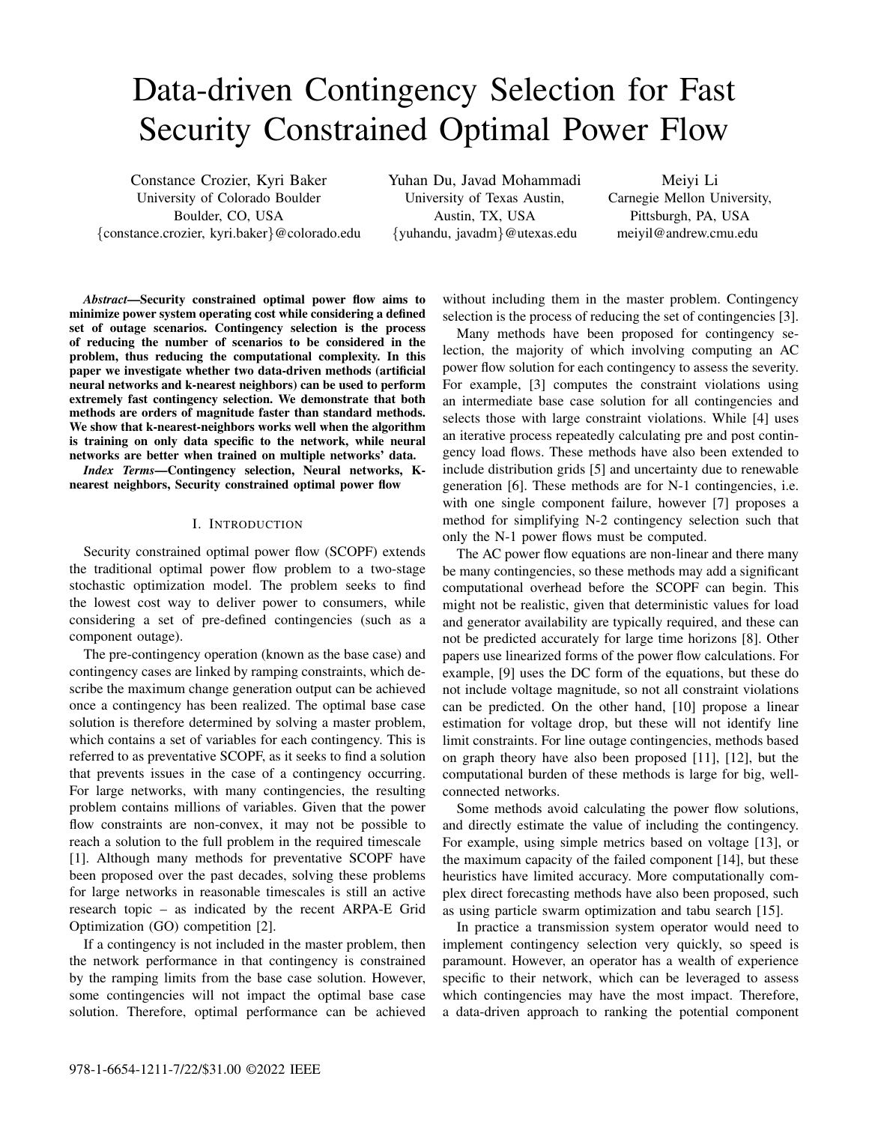# Data-driven Contingency Selection for Fast Security Constrained Optimal Power Flow

Constance Crozier, Kyri Baker University of Colorado Boulder Boulder, CO, USA {constance.crozier, kyri.baker}@colorado.edu Yuhan Du, Javad Mohammadi University of Texas Austin, Austin, TX, USA {yuhandu, javadm}@utexas.edu

Meiyi Li Carnegie Mellon University, Pittsburgh, PA, USA meiyil@andrew.cmu.edu

*Abstract*—Security constrained optimal power flow aims to minimize power system operating cost while considering a defined set of outage scenarios. Contingency selection is the process of reducing the number of scenarios to be considered in the problem, thus reducing the computational complexity. In this paper we investigate whether two data-driven methods (artificial neural networks and k-nearest neighbors) can be used to perform extremely fast contingency selection. We demonstrate that both methods are orders of magnitude faster than standard methods. We show that k-nearest-neighbors works well when the algorithm is training on only data specific to the network, while neural networks are better when trained on multiple networks' data.

*Index Terms*—Contingency selection, Neural networks, Knearest neighbors, Security constrained optimal power flow

# I. INTRODUCTION

Security constrained optimal power flow (SCOPF) extends the traditional optimal power flow problem to a two-stage stochastic optimization model. The problem seeks to find the lowest cost way to deliver power to consumers, while considering a set of pre-defined contingencies (such as a component outage).

The pre-contingency operation (known as the base case) and contingency cases are linked by ramping constraints, which describe the maximum change generation output can be achieved once a contingency has been realized. The optimal base case solution is therefore determined by solving a master problem, which contains a set of variables for each contingency. This is referred to as preventative SCOPF, as it seeks to find a solution that prevents issues in the case of a contingency occurring. For large networks, with many contingencies, the resulting problem contains millions of variables. Given that the power flow constraints are non-convex, it may not be possible to reach a solution to the full problem in the required timescale [1]. Although many methods for preventative SCOPF have been proposed over the past decades, solving these problems for large networks in reasonable timescales is still an active research topic – as indicated by the recent ARPA-E Grid Optimization (GO) competition [2].

If a contingency is not included in the master problem, then the network performance in that contingency is constrained by the ramping limits from the base case solution. However, some contingencies will not impact the optimal base case solution. Therefore, optimal performance can be achieved without including them in the master problem. Contingency selection is the process of reducing the set of contingencies [3].

Many methods have been proposed for contingency selection, the majority of which involving computing an AC power flow solution for each contingency to assess the severity. For example, [3] computes the constraint violations using an intermediate base case solution for all contingencies and selects those with large constraint violations. While [4] uses an iterative process repeatedly calculating pre and post contingency load flows. These methods have also been extended to include distribution grids [5] and uncertainty due to renewable generation [6]. These methods are for N-1 contingencies, i.e. with one single component failure, however [7] proposes a method for simplifying N-2 contingency selection such that only the N-1 power flows must be computed.

The AC power flow equations are non-linear and there many be many contingencies, so these methods may add a significant computational overhead before the SCOPF can begin. This might not be realistic, given that deterministic values for load and generator availability are typically required, and these can not be predicted accurately for large time horizons [8]. Other papers use linearized forms of the power flow calculations. For example, [9] uses the DC form of the equations, but these do not include voltage magnitude, so not all constraint violations can be predicted. On the other hand, [10] propose a linear estimation for voltage drop, but these will not identify line limit constraints. For line outage contingencies, methods based on graph theory have also been proposed [11], [12], but the computational burden of these methods is large for big, wellconnected networks.

Some methods avoid calculating the power flow solutions, and directly estimate the value of including the contingency. For example, using simple metrics based on voltage [13], or the maximum capacity of the failed component [14], but these heuristics have limited accuracy. More computationally complex direct forecasting methods have also been proposed, such as using particle swarm optimization and tabu search [15].

In practice a transmission system operator would need to implement contingency selection very quickly, so speed is paramount. However, an operator has a wealth of experience specific to their network, which can be leveraged to assess which contingencies may have the most impact. Therefore, a data-driven approach to ranking the potential component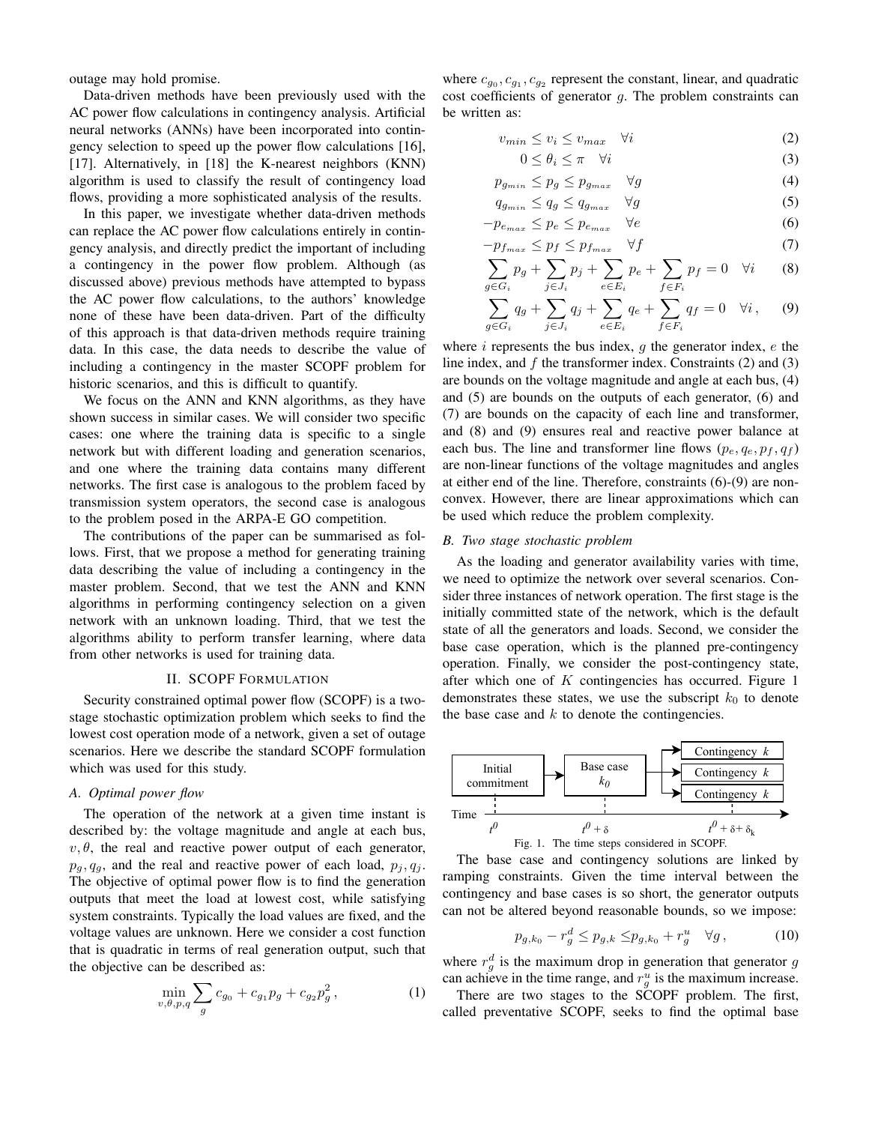outage may hold promise.

Data-driven methods have been previously used with the AC power flow calculations in contingency analysis. Artificial neural networks (ANNs) have been incorporated into contingency selection to speed up the power flow calculations [16], [17]. Alternatively, in [18] the K-nearest neighbors (KNN) algorithm is used to classify the result of contingency load flows, providing a more sophisticated analysis of the results.

In this paper, we investigate whether data-driven methods can replace the AC power flow calculations entirely in contingency analysis, and directly predict the important of including a contingency in the power flow problem. Although (as discussed above) previous methods have attempted to bypass the AC power flow calculations, to the authors' knowledge none of these have been data-driven. Part of the difficulty of this approach is that data-driven methods require training data. In this case, the data needs to describe the value of including a contingency in the master SCOPF problem for historic scenarios, and this is difficult to quantify.

We focus on the ANN and KNN algorithms, as they have shown success in similar cases. We will consider two specific cases: one where the training data is specific to a single network but with different loading and generation scenarios, and one where the training data contains many different networks. The first case is analogous to the problem faced by transmission system operators, the second case is analogous to the problem posed in the ARPA-E GO competition.

The contributions of the paper can be summarised as follows. First, that we propose a method for generating training data describing the value of including a contingency in the master problem. Second, that we test the ANN and KNN algorithms in performing contingency selection on a given network with an unknown loading. Third, that we test the algorithms ability to perform transfer learning, where data from other networks is used for training data.

## II. SCOPF FORMULATION

Security constrained optimal power flow (SCOPF) is a twostage stochastic optimization problem which seeks to find the lowest cost operation mode of a network, given a set of outage scenarios. Here we describe the standard SCOPF formulation which was used for this study.

# *A. Optimal power flow*

The operation of the network at a given time instant is described by: the voltage magnitude and angle at each bus,  $v, \theta$ , the real and reactive power output of each generator,  $p_g, q_g$ , and the real and reactive power of each load,  $p_j, q_j$ . The objective of optimal power flow is to find the generation outputs that meet the load at lowest cost, while satisfying system constraints. Typically the load values are fixed, and the voltage values are unknown. Here we consider a cost function that is quadratic in terms of real generation output, such that the objective can be described as:

$$
\min_{v,\theta,p,q} \sum_{g} c_{g_0} + c_{g_1} p_g + c_{g_2} p_g^2, \tag{1}
$$

where  $c_{g_0}, c_{g_1}, c_{g_2}$  represent the constant, linear, and quadratic cost coefficients of generator  $q$ . The problem constraints can be written as:

$$
v_{min} \le v_i \le v_{max} \quad \forall i \tag{2}
$$

$$
0 \le \theta_i \le \pi \quad \forall i \tag{3}
$$

$$
p_{g_{min}} \le p_g \le p_{g_{max}} \quad \forall g \tag{4}
$$

$$
q_{g_{min}} \le q_g \le q_{g_{max}} \quad \forall g \tag{5}
$$

$$
-p_{e_{max}} \le p_e \le p_{e_{max}} \quad \forall e \tag{6}
$$

$$
-p_{f_{max}} \le p_f \le p_{f_{max}} \quad \forall f \tag{7}
$$

$$
\sum_{g \in G_i} p_g + \sum_{j \in J_i} p_j + \sum_{e \in E_i} p_e + \sum_{f \in F_i} p_f = 0 \quad \forall i \tag{8}
$$

$$
\sum_{g \in G_i} q_g + \sum_{j \in J_i} q_j + \sum_{e \in E_i} q_e + \sum_{f \in F_i} q_f = 0 \quad \forall i, \quad (9)
$$

where  $i$  represents the bus index,  $g$  the generator index,  $e$  the line index, and  $f$  the transformer index. Constraints (2) and (3) are bounds on the voltage magnitude and angle at each bus, (4) and (5) are bounds on the outputs of each generator, (6) and (7) are bounds on the capacity of each line and transformer, and (8) and (9) ensures real and reactive power balance at each bus. The line and transformer line flows  $(p_e, q_e, p_f, q_f)$ are non-linear functions of the voltage magnitudes and angles at either end of the line. Therefore, constraints (6)-(9) are nonconvex. However, there are linear approximations which can be used which reduce the problem complexity.

## *B. Two stage stochastic problem*

As the loading and generator availability varies with time, we need to optimize the network over several scenarios. Consider three instances of network operation. The first stage is the initially committed state of the network, which is the default state of all the generators and loads. Second, we consider the base case operation, which is the planned pre-contingency operation. Finally, we consider the post-contingency state, after which one of  $K$  contingencies has occurred. Figure 1 demonstrates these states, we use the subscript  $k_0$  to denote the base case and  $k$  to denote the contingencies.



Fig. 1. The time steps considered in SCOPF.

The base case and contingency solutions are linked by ramping constraints. Given the time interval between the contingency and base cases is so short, the generator outputs can not be altered beyond reasonable bounds, so we impose:

$$
p_{g,k_0} - r_g^d \le p_{g,k} \le p_{g,k_0} + r_g^u \quad \forall g,
$$
 (10)

where  $r_g^d$  is the maximum drop in generation that generator g can achieve in the time range, and  $r_g^u$  is the maximum increase.

There are two stages to the SCOPF problem. The first, called preventative SCOPF, seeks to find the optimal base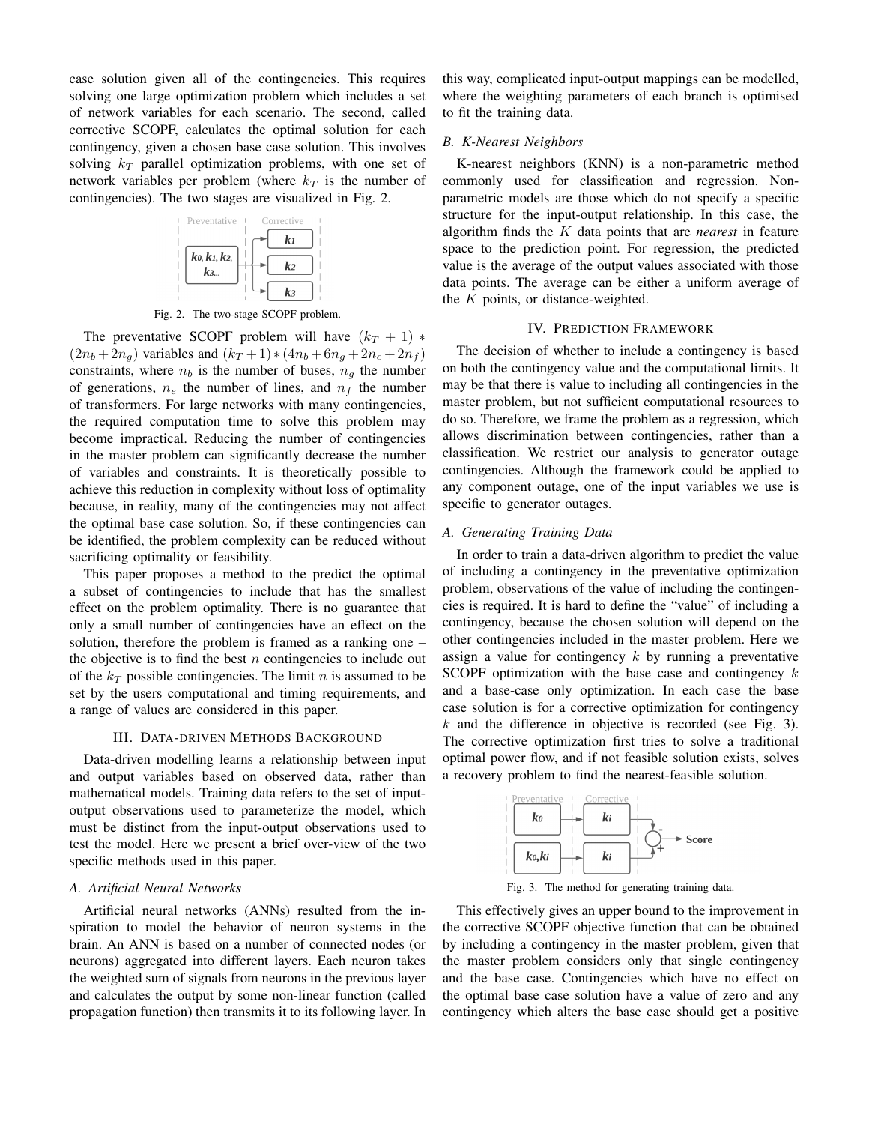case solution given all of the contingencies. This requires solving one large optimization problem which includes a set of network variables for each scenario. The second, called corrective SCOPF, calculates the optimal solution for each contingency, given a chosen base case solution. This involves solving  $k_T$  parallel optimization problems, with one set of network variables per problem (where  $k_T$  is the number of contingencies). The two stages are visualized in Fig. 2.



Fig. 2. The two-stage SCOPF problem.

The preventative SCOPF problem will have  $(k_T + 1)$  \*  $(2n_b + 2n_g)$  variables and  $(k_T + 1) * (4n_b + 6n_g + 2n_e + 2n_f)$ constraints, where  $n_b$  is the number of buses,  $n_a$  the number of generations,  $n_e$  the number of lines, and  $n_f$  the number of transformers. For large networks with many contingencies, the required computation time to solve this problem may become impractical. Reducing the number of contingencies in the master problem can significantly decrease the number of variables and constraints. It is theoretically possible to achieve this reduction in complexity without loss of optimality because, in reality, many of the contingencies may not affect the optimal base case solution. So, if these contingencies can be identified, the problem complexity can be reduced without sacrificing optimality or feasibility.

This paper proposes a method to the predict the optimal a subset of contingencies to include that has the smallest effect on the problem optimality. There is no guarantee that only a small number of contingencies have an effect on the solution, therefore the problem is framed as a ranking one – the objective is to find the best  $n$  contingencies to include out of the  $k_T$  possible contingencies. The limit n is assumed to be set by the users computational and timing requirements, and a range of values are considered in this paper.

#### III. DATA-DRIVEN METHODS BACKGROUND

Data-driven modelling learns a relationship between input and output variables based on observed data, rather than mathematical models. Training data refers to the set of inputoutput observations used to parameterize the model, which must be distinct from the input-output observations used to test the model. Here we present a brief over-view of the two specific methods used in this paper.

## *A. Artificial Neural Networks*

Artificial neural networks (ANNs) resulted from the inspiration to model the behavior of neuron systems in the brain. An ANN is based on a number of connected nodes (or neurons) aggregated into different layers. Each neuron takes the weighted sum of signals from neurons in the previous layer and calculates the output by some non-linear function (called propagation function) then transmits it to its following layer. In this way, complicated input-output mappings can be modelled, where the weighting parameters of each branch is optimised to fit the training data.

#### *B. K-Nearest Neighbors*

K-nearest neighbors (KNN) is a non-parametric method commonly used for classification and regression. Nonparametric models are those which do not specify a specific structure for the input-output relationship. In this case, the algorithm finds the K data points that are *nearest* in feature space to the prediction point. For regression, the predicted value is the average of the output values associated with those data points. The average can be either a uniform average of the  $K$  points, or distance-weighted.

# IV. PREDICTION FRAMEWORK

The decision of whether to include a contingency is based on both the contingency value and the computational limits. It may be that there is value to including all contingencies in the master problem, but not sufficient computational resources to do so. Therefore, we frame the problem as a regression, which allows discrimination between contingencies, rather than a classification. We restrict our analysis to generator outage contingencies. Although the framework could be applied to any component outage, one of the input variables we use is specific to generator outages.

# *A. Generating Training Data*

In order to train a data-driven algorithm to predict the value of including a contingency in the preventative optimization problem, observations of the value of including the contingencies is required. It is hard to define the "value" of including a contingency, because the chosen solution will depend on the other contingencies included in the master problem. Here we assign a value for contingency  $k$  by running a preventative SCOPF optimization with the base case and contingency  $k$ and a base-case only optimization. In each case the base case solution is for a corrective optimization for contingency  $k$  and the difference in objective is recorded (see Fig. 3). The corrective optimization first tries to solve a traditional optimal power flow, and if not feasible solution exists, solves a recovery problem to find the nearest-feasible solution.



Fig. 3. The method for generating training data.

This effectively gives an upper bound to the improvement in the corrective SCOPF objective function that can be obtained by including a contingency in the master problem, given that the master problem considers only that single contingency and the base case. Contingencies which have no effect on the optimal base case solution have a value of zero and any contingency which alters the base case should get a positive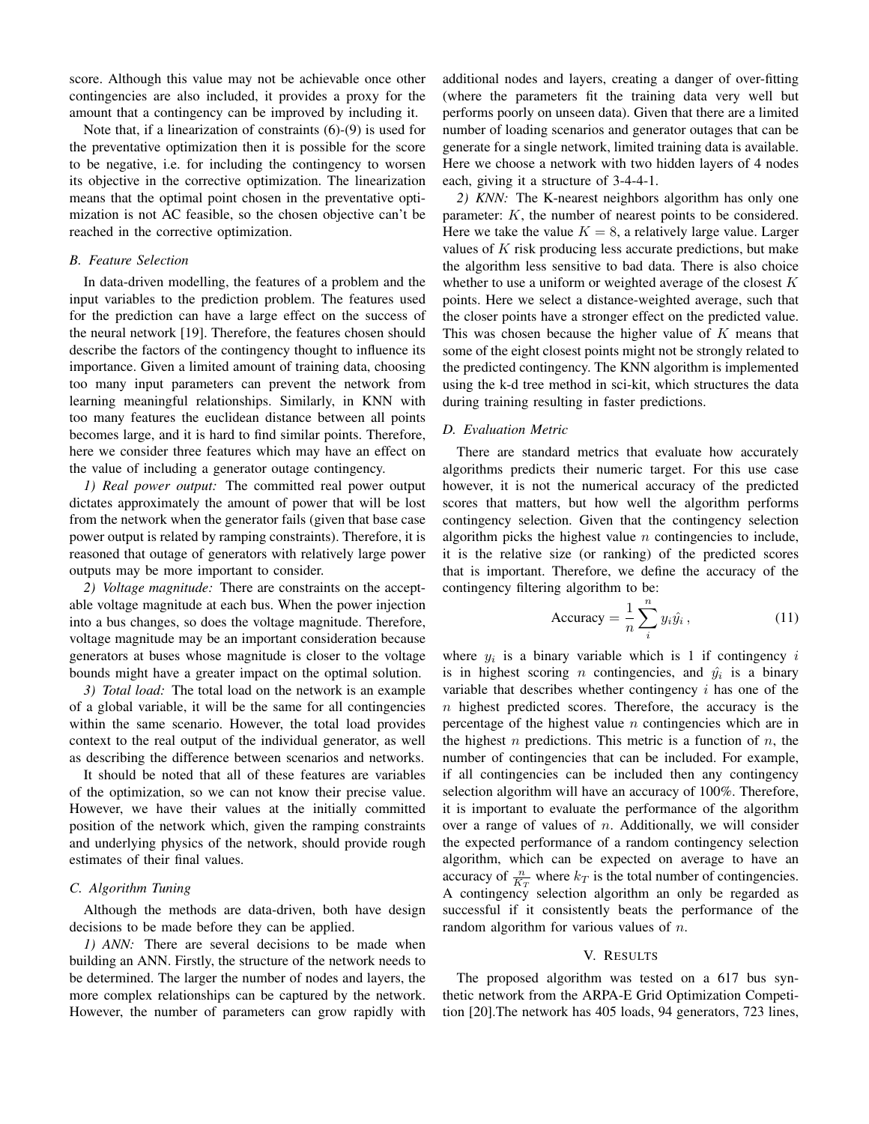score. Although this value may not be achievable once other contingencies are also included, it provides a proxy for the amount that a contingency can be improved by including it.

Note that, if a linearization of constraints (6)-(9) is used for the preventative optimization then it is possible for the score to be negative, i.e. for including the contingency to worsen its objective in the corrective optimization. The linearization means that the optimal point chosen in the preventative optimization is not AC feasible, so the chosen objective can't be reached in the corrective optimization.

#### *B. Feature Selection*

In data-driven modelling, the features of a problem and the input variables to the prediction problem. The features used for the prediction can have a large effect on the success of the neural network [19]. Therefore, the features chosen should describe the factors of the contingency thought to influence its importance. Given a limited amount of training data, choosing too many input parameters can prevent the network from learning meaningful relationships. Similarly, in KNN with too many features the euclidean distance between all points becomes large, and it is hard to find similar points. Therefore, here we consider three features which may have an effect on the value of including a generator outage contingency.

*1) Real power output:* The committed real power output dictates approximately the amount of power that will be lost from the network when the generator fails (given that base case power output is related by ramping constraints). Therefore, it is reasoned that outage of generators with relatively large power outputs may be more important to consider.

*2) Voltage magnitude:* There are constraints on the acceptable voltage magnitude at each bus. When the power injection into a bus changes, so does the voltage magnitude. Therefore, voltage magnitude may be an important consideration because generators at buses whose magnitude is closer to the voltage bounds might have a greater impact on the optimal solution.

*3) Total load:* The total load on the network is an example of a global variable, it will be the same for all contingencies within the same scenario. However, the total load provides context to the real output of the individual generator, as well as describing the difference between scenarios and networks.

It should be noted that all of these features are variables of the optimization, so we can not know their precise value. However, we have their values at the initially committed position of the network which, given the ramping constraints and underlying physics of the network, should provide rough estimates of their final values.

# *C. Algorithm Tuning*

Although the methods are data-driven, both have design decisions to be made before they can be applied.

*1) ANN:* There are several decisions to be made when building an ANN. Firstly, the structure of the network needs to be determined. The larger the number of nodes and layers, the more complex relationships can be captured by the network. However, the number of parameters can grow rapidly with additional nodes and layers, creating a danger of over-fitting (where the parameters fit the training data very well but performs poorly on unseen data). Given that there are a limited number of loading scenarios and generator outages that can be generate for a single network, limited training data is available. Here we choose a network with two hidden layers of 4 nodes each, giving it a structure of 3-4-4-1.

*2) KNN:* The K-nearest neighbors algorithm has only one parameter: K, the number of nearest points to be considered. Here we take the value  $K = 8$ , a relatively large value. Larger values of  $K$  risk producing less accurate predictions, but make the algorithm less sensitive to bad data. There is also choice whether to use a uniform or weighted average of the closest  $K$ points. Here we select a distance-weighted average, such that the closer points have a stronger effect on the predicted value. This was chosen because the higher value of K means that some of the eight closest points might not be strongly related to the predicted contingency. The KNN algorithm is implemented using the k-d tree method in sci-kit, which structures the data during training resulting in faster predictions.

# *D. Evaluation Metric*

There are standard metrics that evaluate how accurately algorithms predicts their numeric target. For this use case however, it is not the numerical accuracy of the predicted scores that matters, but how well the algorithm performs contingency selection. Given that the contingency selection algorithm picks the highest value  $n$  contingencies to include, it is the relative size (or ranking) of the predicted scores that is important. Therefore, we define the accuracy of the contingency filtering algorithm to be:

$$
\text{Accuracy} = \frac{1}{n} \sum_{i}^{n} y_i \hat{y}_i, \qquad (11)
$$

where  $y_i$  is a binary variable which is 1 if contingency i is in highest scoring *n* contingencies, and  $\hat{y}_i$  is a binary variable that describes whether contingency  $i$  has one of the  $n$  highest predicted scores. Therefore, the accuracy is the percentage of the highest value  $n$  contingencies which are in the highest *n* predictions. This metric is a function of *n*, the number of contingencies that can be included. For example, if all contingencies can be included then any contingency selection algorithm will have an accuracy of 100%. Therefore, it is important to evaluate the performance of the algorithm over a range of values of  $n$ . Additionally, we will consider the expected performance of a random contingency selection algorithm, which can be expected on average to have an accuracy of  $\frac{n}{K_T}$  where  $k_T$  is the total number of contingencies. A contingency selection algorithm an only be regarded as successful if it consistently beats the performance of the random algorithm for various values of *n*.

## V. RESULTS

The proposed algorithm was tested on a 617 bus synthetic network from the ARPA-E Grid Optimization Competition [20].The network has 405 loads, 94 generators, 723 lines,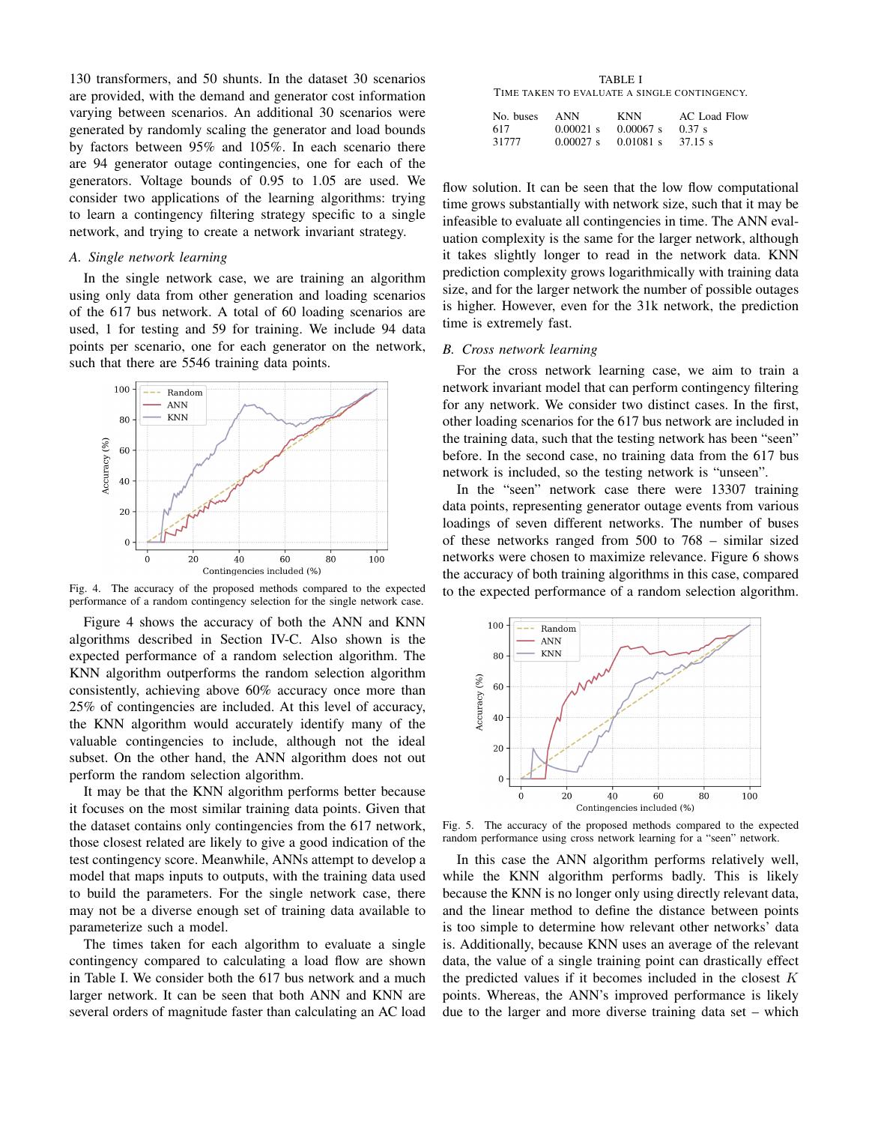130 transformers, and 50 shunts. In the dataset 30 scenarios are provided, with the demand and generator cost information varying between scenarios. An additional 30 scenarios were generated by randomly scaling the generator and load bounds by factors between 95% and 105%. In each scenario there are 94 generator outage contingencies, one for each of the generators. Voltage bounds of 0.95 to 1.05 are used. We consider two applications of the learning algorithms: trying to learn a contingency filtering strategy specific to a single network, and trying to create a network invariant strategy.

# *A. Single network learning*

In the single network case, we are training an algorithm using only data from other generation and loading scenarios of the 617 bus network. A total of 60 loading scenarios are used, 1 for testing and 59 for training. We include 94 data points per scenario, one for each generator on the network, such that there are 5546 training data points.



Fig. 4. The accuracy of the proposed methods compared to the expected performance of a random contingency selection for the single network case.

Figure 4 shows the accuracy of both the ANN and KNN algorithms described in Section IV-C. Also shown is the expected performance of a random selection algorithm. The KNN algorithm outperforms the random selection algorithm consistently, achieving above 60% accuracy once more than 25% of contingencies are included. At this level of accuracy, the KNN algorithm would accurately identify many of the valuable contingencies to include, although not the ideal subset. On the other hand, the ANN algorithm does not out perform the random selection algorithm.

It may be that the KNN algorithm performs better because it focuses on the most similar training data points. Given that the dataset contains only contingencies from the 617 network, those closest related are likely to give a good indication of the test contingency score. Meanwhile, ANNs attempt to develop a model that maps inputs to outputs, with the training data used to build the parameters. For the single network case, there may not be a diverse enough set of training data available to parameterize such a model.

The times taken for each algorithm to evaluate a single contingency compared to calculating a load flow are shown in Table I. We consider both the 617 bus network and a much larger network. It can be seen that both ANN and KNN are several orders of magnitude faster than calculating an AC load

TABLE I TIME TAKEN TO EVALUATE A SINGLE CONTINGENCY.

| No. buses | ANN         | KNN         | AC Load Flow |
|-----------|-------------|-------------|--------------|
| 617       | $0.00021$ s | $0.00067$ s | 0.37 s       |
| 31777     | $0.00027$ s | $0.01081$ s | 37.15 s      |

flow solution. It can be seen that the low flow computational time grows substantially with network size, such that it may be infeasible to evaluate all contingencies in time. The ANN evaluation complexity is the same for the larger network, although it takes slightly longer to read in the network data. KNN prediction complexity grows logarithmically with training data size, and for the larger network the number of possible outages is higher. However, even for the 31k network, the prediction time is extremely fast.

## *B. Cross network learning*

For the cross network learning case, we aim to train a network invariant model that can perform contingency filtering for any network. We consider two distinct cases. In the first, other loading scenarios for the 617 bus network are included in the training data, such that the testing network has been "seen" before. In the second case, no training data from the 617 bus network is included, so the testing network is "unseen".

In the "seen" network case there were 13307 training data points, representing generator outage events from various loadings of seven different networks. The number of buses of these networks ranged from 500 to 768 – similar sized networks were chosen to maximize relevance. Figure 6 shows the accuracy of both training algorithms in this case, compared to the expected performance of a random selection algorithm.



Fig. 5. The accuracy of the proposed methods compared to the expected random performance using cross network learning for a "seen" network.

In this case the ANN algorithm performs relatively well, while the KNN algorithm performs badly. This is likely because the KNN is no longer only using directly relevant data, and the linear method to define the distance between points is too simple to determine how relevant other networks' data is. Additionally, because KNN uses an average of the relevant data, the value of a single training point can drastically effect the predicted values if it becomes included in the closest  $K$ points. Whereas, the ANN's improved performance is likely due to the larger and more diverse training data set – which